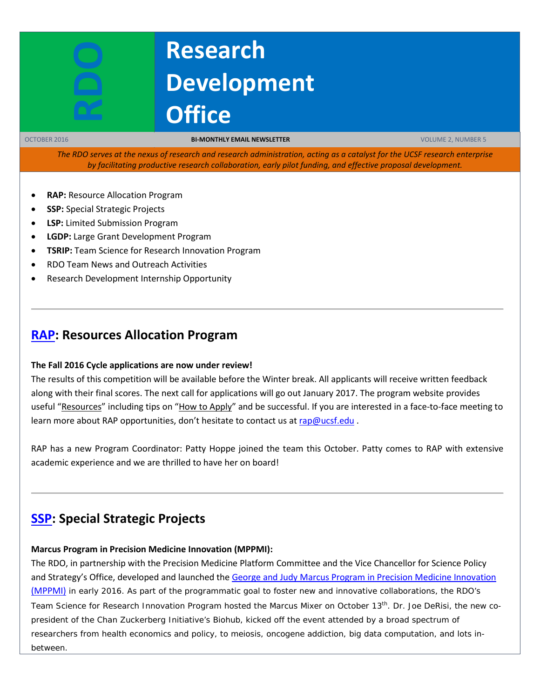# **Research Development Office**

OCTOBER 2016 **BI-MONTHLY EMAIL NEWSLETTER** VOLUME 2, NUMBER 5

*The RDO serves at the nexus of research and research administration, acting as a catalyst for the UCSF research enterprise by facilitating productive research collaboration, early pilot funding, and effective proposal development.*

- **RAP:** Resource Allocation Program
- **SSP:** Special Strategic Projects
- **LSP:** Limited Submission Program
- **LGDP:** Large Grant Development Program
- **TSRIP:** Team Science for Research Innovation Program
- RDO Team News and Outreach Activities
- Research Development Internship Opportunity

## **[RAP:](https://rap.ucsf.edu/) Resources Allocation Program**

#### **The Fall 2016 Cycle applications are now under review!**

The results of this competition will be available before the Winter break. All applicants will receive written feedback along with their final scores. The next call for applications will go out January 2017. The program website provides useful ["Resources"](http://rap.ucsf.edu/resources) including tips on ["How to Apply"](http://rap.ucsf.edu/how-apply) and be successful. If you are interested in a face-to-face meeting to learn more about RAP opportunities, don't hesitate to contact us at [rap@ucsf.edu](mailto:rap@ucsf.edu).

RAP has a new Program Coordinator: Patty Hoppe joined the team this October. Patty comes to RAP with extensive academic experience and we are thrilled to have her on board!

# **[SSP:](https://rap.ucsf.edu/) Special Strategic Projects**

#### **Marcus Program in Precision Medicine Innovation (MPPMI):**

The RDO, in partnership with the Precision Medicine Platform Committee and the Vice Chancellor for Science Policy and Strategy's Office, developed and launched the George [and Judy Marcus Program in Precision Medicine Innovation](http://rdo.ucsf.edu/news/marcus-program-precision-medicine-innovation)  [\(MPPMI\)](http://rdo.ucsf.edu/news/marcus-program-precision-medicine-innovation) in early 2016. As part of the programmatic goal to foster new and innovative collaborations, the RDO's Team Science for Research Innovation Program hosted the Marcus Mixer on October 13<sup>th</sup>. Dr. Joe DeRisi, the new copresident of the Chan Zuckerberg Initiative's Biohub, kicked off the event attended by a broad spectrum of researchers from health economics and policy, to meiosis, oncogene addiction, big data computation, and lots inbetween.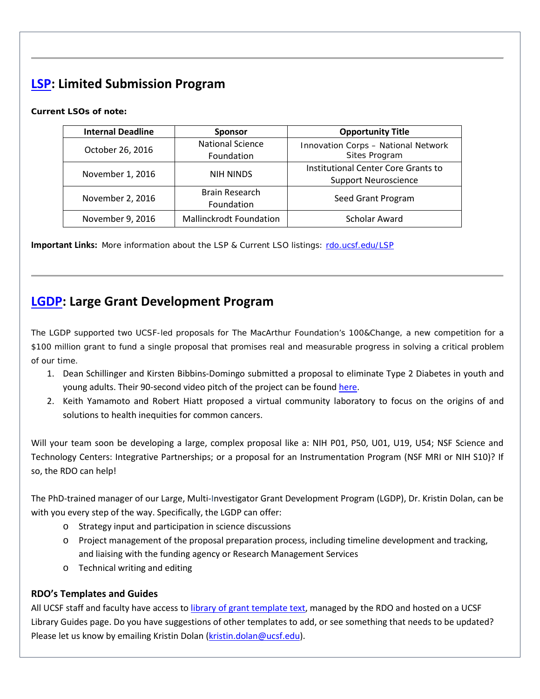# **[LSP:](http://rdo.ucsf.edu/limited-submission-program-lsp) Limited Submission Program**

#### **Current LSOs of note:**

| <b>Internal Deadline</b> | <b>Sponsor</b>                 | <b>Opportunity Title</b>                                           |
|--------------------------|--------------------------------|--------------------------------------------------------------------|
| October 26, 2016         | National Science<br>Foundation | Innovation Corps - National Network<br>Sites Program               |
| November 1, 2016         | <b>NIH NINDS</b>               | Institutional Center Core Grants to<br><b>Support Neuroscience</b> |
| November 2, 2016         | Brain Research<br>Foundation   | Seed Grant Program                                                 |
| November 9, 2016         | <b>Mallinckrodt Foundation</b> | Scholar Award                                                      |

**Important Links:** More information about the LSP & Current LSO listings: [rdo.ucsf.edu/LSP](http://rdo.ucsf.edu/limited-submission-program-lsp)

# **[LGDP:](http://rdo.ucsf.edu/large-grant-development-program-lgdp) Large Grant Development Program**

The LGDP supported two UCSF-led proposals for The MacArthur Foundation's 100&Change, a new competition for a \$100 million grant to fund a single proposal that promises real and measurable progress in solving a critical problem of our time.

- 1. Dean Schillinger and Kirsten Bibbins-Domingo submitted a proposal to eliminate Type 2 Diabetes in youth and young adults. Their 90-second video pitch of the project can be found [here.](https://www.youtube.com/watch?v=skj4TdHSW00)
- 2. Keith Yamamoto and Robert Hiatt proposed a virtual community laboratory to focus on the origins of and solutions to health inequities for common cancers.

Will your team soon be developing a large, complex proposal like a: NIH P01, P50, U01, U19, U54; NSF Science and Technology Centers: Integrative Partnerships; or a proposal for an Instrumentation Program (NSF MRI or NIH S10)? If so, the RDO can help!

The PhD-trained manager of our Large, Multi-Investigator Grant Development Program (LGDP), Dr. Kristin Dolan, can be with you every step of the way. Specifically, the LGDP can offer:

- o Strategy input and participation in science discussions
- o Project management of the proposal preparation process, including timeline development and tracking, and liaising with the funding agency or Research Management Services
- o Technical writing and editing

### **RDO's Templates and Guides**

All UCSF staff and faculty have access to [library of grant template text,](http://guides.ucsf.edu/rdo) managed by the RDO and hosted on a UCSF Library Guides page. Do you have suggestions of other templates to add, or see something that needs to be updated? Please let us know by emailing Kristin Dolan [\(kristin.dolan@ucsf.edu\)](mailto:kristin.dolan@ucsf.edu).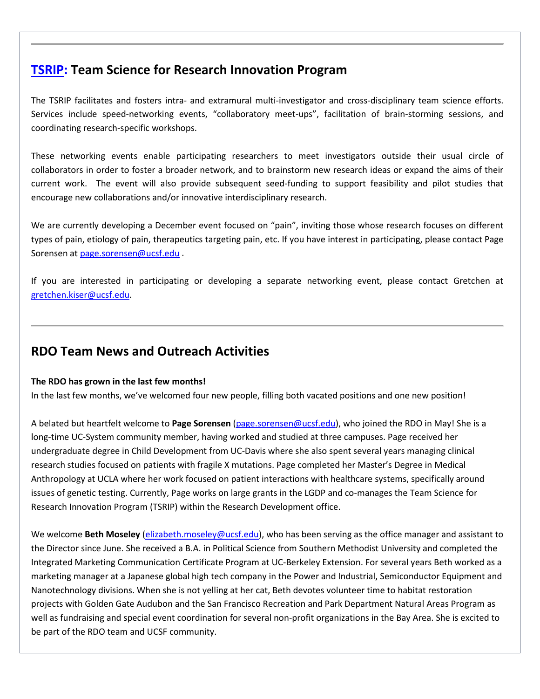# **[TSRIP:](http://rdo.ucsf.edu/team-science-research-innovation-program-tsrip) Team Science for Research Innovation Program**

The TSRIP facilitates and fosters intra- and extramural multi-investigator and cross-disciplinary team science efforts. Services include speed-networking events, "collaboratory meet-ups", facilitation of brain-storming sessions, and coordinating research-specific workshops.

These networking events enable participating researchers to meet investigators outside their usual circle of collaborators in order to foster a broader network, and to brainstorm new research ideas or expand the aims of their current work. The event will also provide subsequent seed-funding to support feasibility and pilot studies that encourage new collaborations and/or innovative interdisciplinary research.

We are currently developing a December event focused on "pain", inviting those whose research focuses on different types of pain, etiology of pain, therapeutics targeting pain, etc. If you have interest in participating, please contact Page Sorensen a[t page.sorensen@ucsf.edu](mailto:page.sorensen@ucsf.edu) .

If you are interested in participating or developing a separate networking event, please contact Gretchen at [gretchen.kiser@ucsf.edu.](mailto:gretchen.kiser@ucsf.edu)

# **RDO Team News and Outreach Activities**

#### **The RDO has grown in the last few months!**

In the last few months, we've welcomed four new people, filling both vacated positions and one new position!

A belated but heartfelt welcome to **Page Sorensen** [\(page.sorensen@ucsf.edu\)](mailto:page.sorensen@ucsf.edu), who joined the RDO in May! She is a long-time UC-System community member, having worked and studied at three campuses. Page received her undergraduate degree in Child Development from UC-Davis where she also spent several years managing clinical research studies focused on patients with fragile X mutations. Page completed her Master's Degree in Medical Anthropology at UCLA where her work focused on patient interactions with healthcare systems, specifically around issues of genetic testing. Currently, Page works on large grants in the LGDP and co-manages the Team Science for Research Innovation Program (TSRIP) within the Research Development office.

We welcome **Beth Moseley** [\(elizabeth.moseley@ucsf.edu\)](mailto:elizabeth.moseley@ucsf.edu), who has been serving as the office manager and assistant to the Director since June. She received a B.A. in Political Science from Southern Methodist University and completed the Integrated Marketing Communication Certificate Program at UC-Berkeley Extension. For several years Beth worked as a marketing manager at a Japanese global high tech company in the Power and Industrial, Semiconductor Equipment and Nanotechnology divisions. When she is not yelling at her cat, Beth devotes volunteer time to habitat restoration projects with Golden Gate Audubon and the San Francisco Recreation and Park Department Natural Areas Program as well as fundraising and special event coordination for several non-profit organizations in the Bay Area. She is excited to be part of the RDO team and UCSF community.